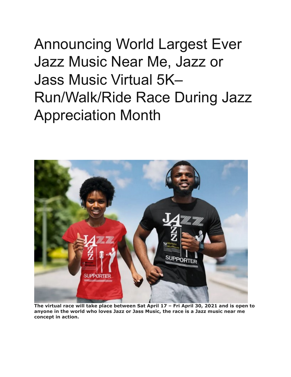## Announcing World Largest Ever Jazz Music Near Me, Jazz or Jass Music Virtual 5K– Run/Walk/Ride Race During Jazz Appreciation Month



**The virtual race will take place between Sat April 17 – Fri April 30, 2021 and is open to anyone in the world who loves Jazz or Jass Music, the race is a Jazz music near me concept in action.**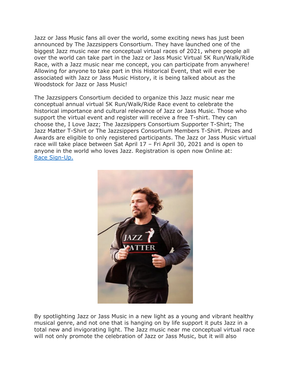Jazz or Jass Music fans all over the world, some exciting news has just been announced by The Jazzsippers Consortium. They have launched one of the biggest Jazz music near me conceptual virtual races of 2021, where people all over the world can take part in the Jazz or Jass Music Virtual 5K Run/Walk/Ride Race, with a Jazz music near me concept, you can participate from anywhere! Allowing for anyone to take part in this Historical Event, that will ever be associated with Jazz or Jass Music History, it is being talked about as the Woodstock for Jazz or Jass Music!

The Jazzsippers Consortium decided to organize this Jazz music near me conceptual annual virtual 5K Run/Walk/Ride Race event to celebrate the historical importance and cultural relevance of Jazz or Jass Music. Those who support the virtual event and register will receive a free T-shirt. They can choose the, I Love Jazz; The Jazzsippers Consortium Supporter T-Shirt; The Jazz Matter T-Shirt or The Jazzsippers Consortium Members T-Shirt. Prizes and Awards are eligible to only registered participants. The Jazz or Jass Music virtual race will take place between Sat April 17 – Fri April 30, 2021 and is open to anyone in the world who loves Jazz. Registration is open now Online at: [Race Sign-Up.](https://runsignup.com/Race/GA/Hiram/TheJazzsippersConsortiumVirtual5KRunWalkRideRaceforJazzRace)



By spotlighting Jazz or Jass Music in a new light as a young and vibrant healthy musical genre, and not one that is hanging on by life support it puts Jazz in a total new and invigorating light. The Jazz music near me conceptual virtual race will not only promote the celebration of Jazz or Jass Music, but it will also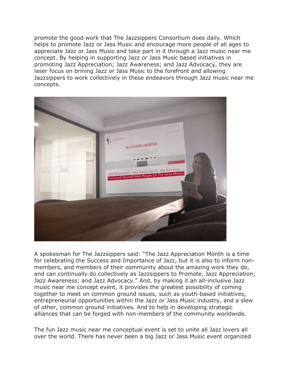promote the good work that The Jazzsippers Consortium does daily. Which helps to promote Jazz or Jass Music and encourage more people of all ages to appreciate Jazz or Jass Music and take part in it through a Jazz music near me concept. By helping in supporting Jazz or Jass Music based initiatives in promoting Jazz Appreciation; Jazz Awareness; and Jazz Advocacy, they are laser focus on brining Jazz or Jass Music to the forefront and allowing Jazzsippers to work collectively in these endeavors through Jazz music near me concepts.



A spokesman for The Jazzsippers said: "The Jazz Appreciation Month is a time for celebrating the Success and Importance of Jazz, but it is also to inform nonmembers, and members of their community about the amazing work they do, and can continually do collectively as Jazzsippers to Promote, Jazz Appreciation; Jazz Awareness; and Jazz Advocacy." And, by making it an all-inclusive Jazz music near me concept event, it provides the greatest possibility of coming together to meet on common ground issues, such as youth-based initiatives, entrepreneurial opportunities within the Jazz or Jass Music industry, and a slew of other, common ground initiatives. And to help in developing strategic alliances that can be forged with non-members of the community worldwide.

The fun Jazz music near me conceptual event is set to unite all Jazz lovers all over the world. There has never been a big Jazz or Jass Music event organized